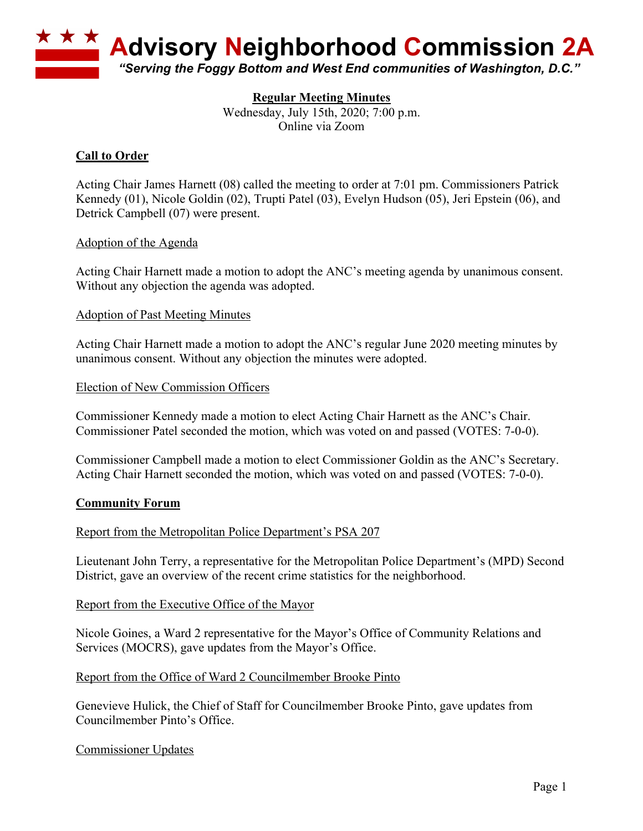

## **Regular Meeting Minutes**

Wednesday, July 15th, 2020; 7:00 p.m. Online via Zoom

# **Call to Order**

Acting Chair James Harnett (08) called the meeting to order at 7:01 pm. Commissioners Patrick Kennedy (01), Nicole Goldin (02), Trupti Patel (03), Evelyn Hudson (05), Jeri Epstein (06), and Detrick Campbell (07) were present.

## Adoption of the Agenda

Acting Chair Harnett made a motion to adopt the ANC's meeting agenda by unanimous consent. Without any objection the agenda was adopted.

## Adoption of Past Meeting Minutes

Acting Chair Harnett made a motion to adopt the ANC's regular June 2020 meeting minutes by unanimous consent. Without any objection the minutes were adopted.

## Election of New Commission Officers

Commissioner Kennedy made a motion to elect Acting Chair Harnett as the ANC's Chair. Commissioner Patel seconded the motion, which was voted on and passed (VOTES: 7-0-0).

Commissioner Campbell made a motion to elect Commissioner Goldin as the ANC's Secretary. Acting Chair Harnett seconded the motion, which was voted on and passed (VOTES: 7-0-0).

## **Community Forum**

## Report from the Metropolitan Police Department's PSA 207

Lieutenant John Terry, a representative for the Metropolitan Police Department's (MPD) Second District, gave an overview of the recent crime statistics for the neighborhood.

## Report from the Executive Office of the Mayor

Nicole Goines, a Ward 2 representative for the Mayor's Office of Community Relations and Services (MOCRS), gave updates from the Mayor's Office.

## Report from the Office of Ward 2 Councilmember Brooke Pinto

Genevieve Hulick, the Chief of Staff for Councilmember Brooke Pinto, gave updates from Councilmember Pinto's Office.

## Commissioner Updates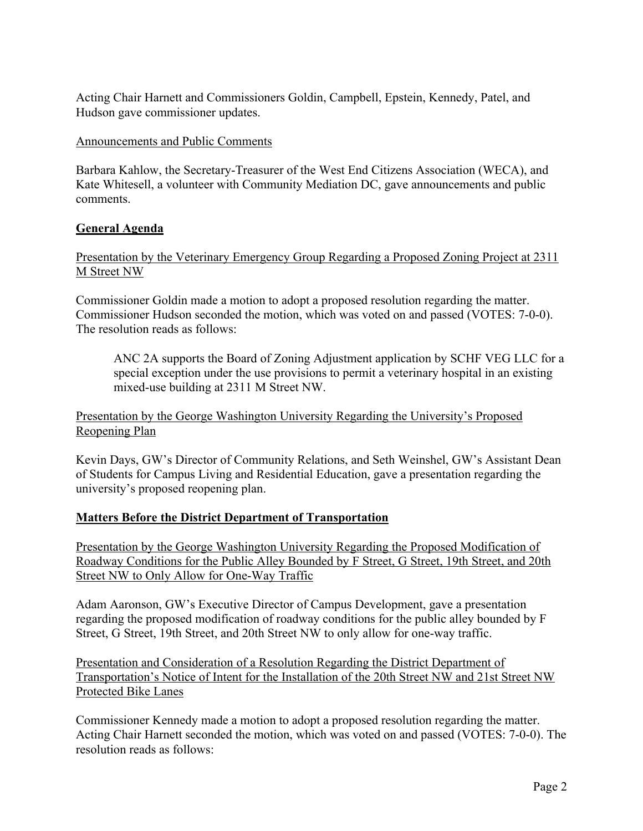Acting Chair Harnett and Commissioners Goldin, Campbell, Epstein, Kennedy, Patel, and Hudson gave commissioner updates.

#### Announcements and Public Comments

Barbara Kahlow, the Secretary-Treasurer of the West End Citizens Association (WECA), and Kate Whitesell, a volunteer with Community Mediation DC, gave announcements and public comments.

## **General Agenda**

# Presentation by the Veterinary Emergency Group Regarding a Proposed Zoning Project at 2311 M Street NW

Commissioner Goldin made a motion to adopt a proposed resolution regarding the matter. Commissioner Hudson seconded the motion, which was voted on and passed (VOTES: 7-0-0). The resolution reads as follows:

ANC 2A supports the Board of Zoning Adjustment application by SCHF VEG LLC for a special exception under the use provisions to permit a veterinary hospital in an existing mixed-use building at 2311 M Street NW.

Presentation by the George Washington University Regarding the University's Proposed Reopening Plan

Kevin Days, GW's Director of Community Relations, and Seth Weinshel, GW's Assistant Dean of Students for Campus Living and Residential Education, gave a presentation regarding the university's proposed reopening plan.

## **Matters Before the District Department of Transportation**

Presentation by the George Washington University Regarding the Proposed Modification of Roadway Conditions for the Public Alley Bounded by F Street, G Street, 19th Street, and 20th Street NW to Only Allow for One-Way Traffic

Adam Aaronson, GW's Executive Director of Campus Development, gave a presentation regarding the proposed modification of roadway conditions for the public alley bounded by F Street, G Street, 19th Street, and 20th Street NW to only allow for one-way traffic.

Presentation and Consideration of a Resolution Regarding the District Department of Transportation's Notice of Intent for the Installation of the 20th Street NW and 21st Street NW Protected Bike Lanes

Commissioner Kennedy made a motion to adopt a proposed resolution regarding the matter. Acting Chair Harnett seconded the motion, which was voted on and passed (VOTES: 7-0-0). The resolution reads as follows: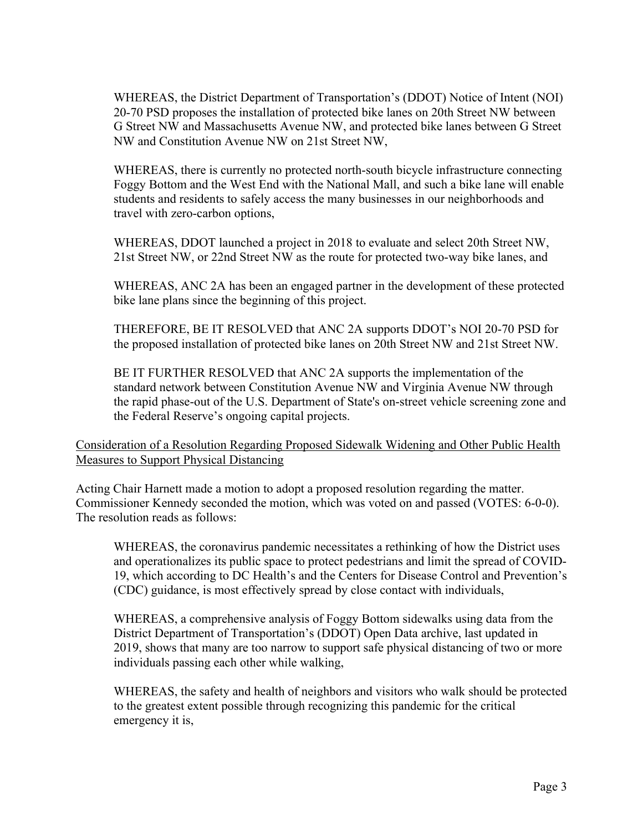WHEREAS, the District Department of Transportation's (DDOT) Notice of Intent (NOI) 20-70 PSD proposes the installation of protected bike lanes on 20th Street NW between G Street NW and Massachusetts Avenue NW, and protected bike lanes between G Street NW and Constitution Avenue NW on 21st Street NW,

WHEREAS, there is currently no protected north-south bicycle infrastructure connecting Foggy Bottom and the West End with the National Mall, and such a bike lane will enable students and residents to safely access the many businesses in our neighborhoods and travel with zero-carbon options,

WHEREAS, DDOT launched a project in 2018 to evaluate and select 20th Street NW, 21st Street NW, or 22nd Street NW as the route for protected two-way bike lanes, and

WHEREAS, ANC 2A has been an engaged partner in the development of these protected bike lane plans since the beginning of this project.

THEREFORE, BE IT RESOLVED that ANC 2A supports DDOT's NOI 20-70 PSD for the proposed installation of protected bike lanes on 20th Street NW and 21st Street NW.

BE IT FURTHER RESOLVED that ANC 2A supports the implementation of the standard network between Constitution Avenue NW and Virginia Avenue NW through the rapid phase-out of the U.S. Department of State's on-street vehicle screening zone and the Federal Reserve's ongoing capital projects.

# Consideration of a Resolution Regarding Proposed Sidewalk Widening and Other Public Health Measures to Support Physical Distancing

Acting Chair Harnett made a motion to adopt a proposed resolution regarding the matter. Commissioner Kennedy seconded the motion, which was voted on and passed (VOTES: 6-0-0). The resolution reads as follows:

WHEREAS, the coronavirus pandemic necessitates a rethinking of how the District uses and operationalizes its public space to protect pedestrians and limit the spread of COVID-19, which according to DC Health's and the Centers for Disease Control and Prevention's (CDC) guidance, is most effectively spread by close contact with individuals,

WHEREAS, a comprehensive analysis of Foggy Bottom sidewalks using data from the District Department of Transportation's (DDOT) Open Data archive, last updated in 2019, shows that many are too narrow to support safe physical distancing of two or more individuals passing each other while walking,

WHEREAS, the safety and health of neighbors and visitors who walk should be protected to the greatest extent possible through recognizing this pandemic for the critical emergency it is,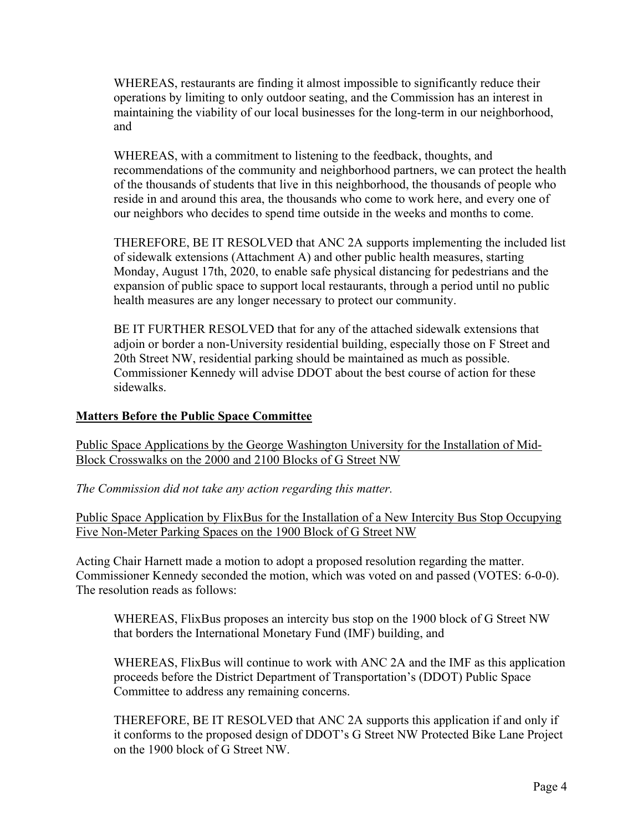WHEREAS, restaurants are finding it almost impossible to significantly reduce their operations by limiting to only outdoor seating, and the Commission has an interest in maintaining the viability of our local businesses for the long-term in our neighborhood, and

WHEREAS, with a commitment to listening to the feedback, thoughts, and recommendations of the community and neighborhood partners, we can protect the health of the thousands of students that live in this neighborhood, the thousands of people who reside in and around this area, the thousands who come to work here, and every one of our neighbors who decides to spend time outside in the weeks and months to come.

THEREFORE, BE IT RESOLVED that ANC 2A supports implementing the included list of sidewalk extensions (Attachment A) and other public health measures, starting Monday, August 17th, 2020, to enable safe physical distancing for pedestrians and the expansion of public space to support local restaurants, through a period until no public health measures are any longer necessary to protect our community.

BE IT FURTHER RESOLVED that for any of the attached sidewalk extensions that adjoin or border a non-University residential building, especially those on F Street and 20th Street NW, residential parking should be maintained as much as possible. Commissioner Kennedy will advise DDOT about the best course of action for these sidewalks.

## **Matters Before the Public Space Committee**

Public Space Applications by the George Washington University for the Installation of Mid-Block Crosswalks on the 2000 and 2100 Blocks of G Street NW

*The Commission did not take any action regarding this matter.*

Public Space Application by FlixBus for the Installation of a New Intercity Bus Stop Occupying Five Non-Meter Parking Spaces on the 1900 Block of G Street NW

Acting Chair Harnett made a motion to adopt a proposed resolution regarding the matter. Commissioner Kennedy seconded the motion, which was voted on and passed (VOTES: 6-0-0). The resolution reads as follows:

WHEREAS, FlixBus proposes an intercity bus stop on the 1900 block of G Street NW that borders the International Monetary Fund (IMF) building, and

WHEREAS, FlixBus will continue to work with ANC 2A and the IMF as this application proceeds before the District Department of Transportation's (DDOT) Public Space Committee to address any remaining concerns.

THEREFORE, BE IT RESOLVED that ANC 2A supports this application if and only if it conforms to the proposed design of DDOT's G Street NW Protected Bike Lane Project on the 1900 block of G Street NW.